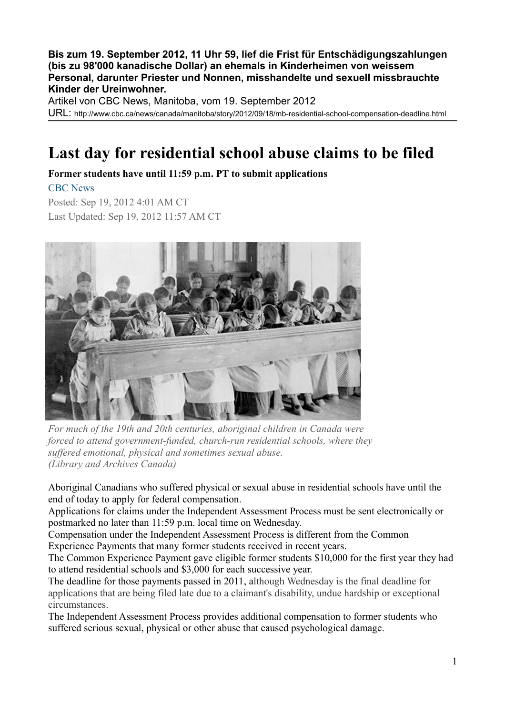**Bis zum 19. September 2012, 11 Uhr 59, lief die Frist für Entschädigungszahlungen (bis zu 98'000 kanadische Dollar) an ehemals in Kinderheimen von weissem Personal, darunter Priester und Nonnen, misshandelte und sexuell missbrauchte Kinder der Ureinwohner.**

Artikel von CBC News, Manitoba, vom 19. September 2012

URL: http://www.cbc.ca/news/canada/manitoba/story/2012/09/18/mb-residential-school-compensation-deadline.html

## **Last day for residential school abuse claims to be filed**

**Former students have until 11:59 p.m. PT to submit applications**

[CBC News](file:///news/credit.html)

Posted: Sep 19, 2012 4:01 AM CT Last Updated: Sep 19, 2012 11:57 AM CT



*For much of the 19th and 20th centuries, aboriginal children in Canada were forced to attend government-funded, church-run residential schools, where they suffered emotional, physical and sometimes sexual abuse. (Library and Archives Canada)*

Aboriginal Canadians who suffered physical or sexual abuse in residential schools have until the end of today to apply for federal compensation.

Applications for claims under the Independent Assessment Process must be sent electronically or postmarked no later than 11:59 p.m. local time on Wednesday.

Compensation under the Independent Assessment Process is different from the Common Experience Payments that many former students received in recent years.

The Common Experience Payment gave eligible former students \$10,000 for the first year they had to attend residential schools and \$3,000 for each successive year.

[The deadline for those payments passed in 2011,](http://www.cbc.ca/news/canada/story/2011/09/19/residential-schools-compensation.html) although Wednesday is the final deadline for applications that are being filed late due to a claimant's disability, undue hardship or exceptional circumstances.

The Independent Assessment Process provides additional compensation to former students who suffered serious sexual, physical or other abuse that caused psychological damage.